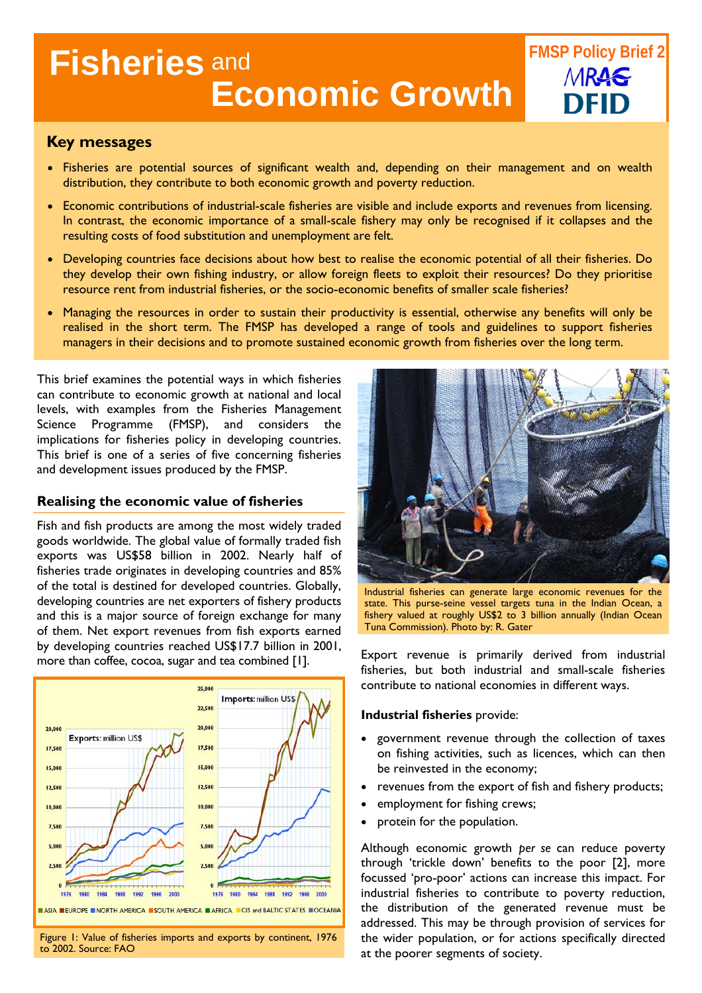# **Fisheries** and **Economic Growth**

# **Key messages**

- Fisheries are potential sources of significant wealth and, depending on their management and on wealth distribution, they contribute to both economic growth and poverty reduction.
- Economic contributions of industrial-scale fisheries are visible and include exports and revenues from licensing. In contrast, the economic importance of a small-scale fishery may only be recognised if it collapses and the resulting costs of food substitution and unemployment are felt.
- Developing countries face decisions about how best to realise the economic potential of all their fisheries. Do they develop their own fishing industry, or allow foreign fleets to exploit their resources? Do they prioritise resource rent from industrial fisheries, or the socio-economic benefits of smaller scale fisheries?
- Managing the resources in order to sustain their productivity is essential, otherwise any benefits will only be realised in the short term. The FMSP has developed a range of tools and guidelines to support fisheries managers in their decisions and to promote sustained economic growth from fisheries over the long term.

This brief examines the potential ways in which fisheries can contribute to economic growth at national and local levels, with examples from the Fisheries Management Science Programme (FMSP), and considers the implications for fisheries policy in developing countries. This brief is one of a series of five concerning fisheries and development issues produced by the FMSP.

#### **Realising the economic value of fisheries**

Fish and fish products are among the most widely traded goods worldwide. The global value of formally traded fish exports was US\$58 billion in 2002. Nearly half of fisheries trade originates in developing countries and 85% of the total is destined for developed countries. Globally, developing countries are net exporters of fishery products and this is a major source of foreign exchange for many of them. Net export revenues from fish exports earned by developing countries reached US\$17.7 billion in 2001, govercional contracts continued to the more than correspondent is primarily derived from industrial more than coffee, cocoa, sugar and tea combined [1].



Figure 1: Value of fisheries imports and exports by continent, 1976 to 2002. Source: FAO



**FMSP Policy Brief 2** 

MRAS

Industrial fisheries can generate large economic revenues for the state. This purse-seine vessel targets tuna in the Indian Ocean, a fishery valued at roughly US\$2 to 3 billion annually (Indian Ocean Tuna Commission). Photo by: R. Gater

fisheries, but both industrial and small-scale fisheries contribute to national economies in different ways.

#### **Industrial fisheries** provide:

- government revenue through the collection of taxes on fishing activities, such as licences, which can then be reinvested in the economy;
- revenues from the export of fish and fishery products;
- employment for fishing crews;
- protein for the population.

Although economic growth *per se* can reduce poverty through 'trickle down' benefits to the poor [2], more focussed 'pro-poor' actions can increase this impact. For industrial fisheries to contribute to poverty reduction, the distribution of the generated revenue must be addressed. This may be through provision of services for the wider population, or for actions specifically directed at the poorer segments of society.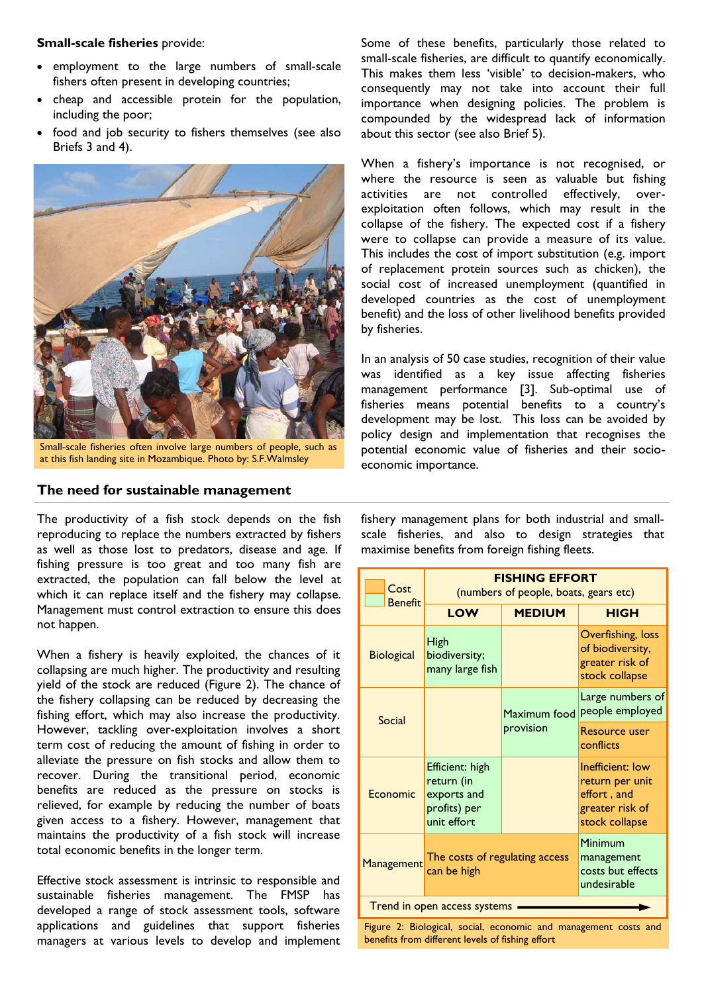#### **Small-scale fisheries** provide:

- employment to the large numbers of small-scale fishers often present in developing countries;
- cheap and accessible protein for the population, including the poor;
- food and job security to fishers themselves (see also Briefs 3 and 4).



Small-scale fisheries often involve large numbers of people, such as at this fish landing site in Mozambique. Photo by: S.F.Walmsley

#### **The need for sustainable management**

The productivity of a fish stock depends on the fish reproducing to replace the numbers extracted by fishers as well as those lost to predators, disease and age. If fishing pressure is too great and too many fish are extracted, the population can fall below the level at which it can replace itself and the fishery may collapse. Management must control extraction to ensure this does not happen.

When a fishery is heavily exploited, the chances of it collapsing are much higher. The productivity and resulting yield of the stock are reduced (Figure 2). The chance of the fishery collapsing can be reduced by decreasing the fishing effort, which may also increase the productivity. However, tackling over-exploitation involves a short term cost of reducing the amount of fishing in order to alleviate the pressure on fish stocks and allow them to recover. During the transitional period, economic benefits are reduced as the pressure on stocks is relieved, for example by reducing the number of boats given access to a fishery. However, management that maintains the productivity of a fish stock will increase total economic benefits in the longer term.

Effective stock assessment is intrinsic to responsible and sustainable fisheries management. The FMSP has developed a range of stock assessment tools, software applications and guidelines that support fisheries managers at various levels to develop and implement Some of these benefits, particularly those related to small-scale fisheries, are difficult to quantify economically. This makes them less 'visible' to decision-makers, who consequently may not take into account their full importance when designing policies. The problem is compounded by the widespread lack of information about this sector (see also Brief 5).

When a fishery's importance is not recognised, or where the resource is seen as valuable but fishing activities are not controlled effectively, overexploitation often follows, which may result in the collapse of the fishery. The expected cost if a fishery were to collapse can provide a measure of its value. This includes the cost of import substitution (e.g. import of replacement protein sources such as chicken), the social cost of increased unemployment (quantified in developed countries as the cost of unemployment benefit) and the loss of other livelihood benefits provided by fisheries.

In an analysis of 50 case studies, recognition of their value was identified as a key issue affecting fisheries management performance [3]. Sub-optimal use of fisheries means potential benefits to a country's development may be lost. This loss can be avoided by policy design and implementation that recognises the potential economic value of fisheries and their socioeconomic importance.

fishery management plans for both industrial and smallscale fisheries, and also to design strategies that maximise benefits from foreign fishing fleets.

| Cost<br><b>Benefit</b>       | <b>FISHING EFFORT</b><br>(numbers of people, boats, gears etc)              |                           |                                                                                         |
|------------------------------|-----------------------------------------------------------------------------|---------------------------|-----------------------------------------------------------------------------------------|
|                              | <b>LOW</b>                                                                  | <b>MEDIUM</b>             | <b>HIGH</b>                                                                             |
| <b>Biological</b>            | High<br>biodiversity;<br>many large fish                                    |                           | Overfishing, loss<br>of biodiversity,<br>greater risk of<br>stock collapse              |
| Social                       |                                                                             | Maximum food<br>provision | Large numbers of<br>people employed                                                     |
|                              |                                                                             |                           | Resource user<br>conflicts                                                              |
| Economic                     | Efficient: high<br>return (in<br>exports and<br>profits) per<br>unit effort |                           | Inefficient: low<br>return per unit<br>effort, and<br>greater risk of<br>stock collapse |
| Management                   | The costs of regulating access<br>can be high                               |                           | Minimum<br>management<br>costs but effects<br>undesirable                               |
| Trend in open access systems |                                                                             |                           |                                                                                         |

Figure 2: Biological, social, economic and management costs and benefits from different levels of fishing effort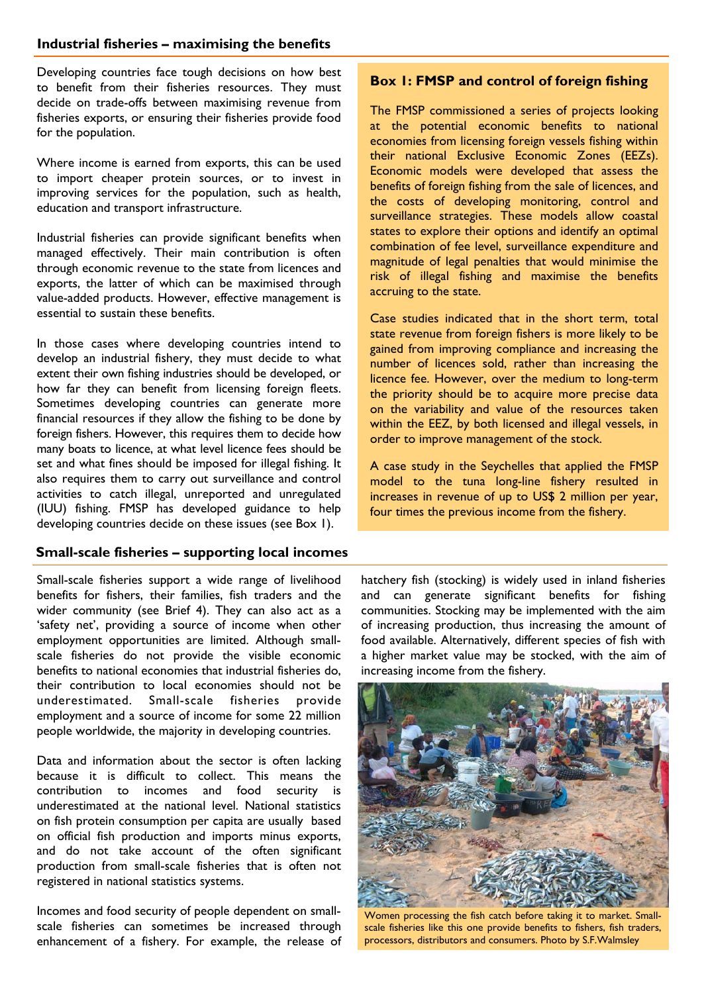### **Industrial fisheries – maximising the benefits**

Developing countries face tough decisions on how best to benefit from their fisheries resources. They must decide on trade-offs between maximising revenue from fisheries exports, or ensuring their fisheries provide food for the population.

Where income is earned from exports, this can be used to import cheaper protein sources, or to invest in improving services for the population, such as health, education and transport infrastructure.

Industrial fisheries can provide significant benefits when managed effectively. Their main contribution is often through economic revenue to the state from licences and exports, the latter of which can be maximised through value-added products. However, effective management is essential to sustain these benefits.

In those cases where developing countries intend to develop an industrial fishery, they must decide to what extent their own fishing industries should be developed, or how far they can benefit from licensing foreign fleets. Sometimes developing countries can generate more financial resources if they allow the fishing to be done by foreign fishers. However, this requires them to decide how many boats to licence, at what level licence fees should be set and what fines should be imposed for illegal fishing. It also requires them to carry out surveillance and control activities to catch illegal, unreported and unregulated (IUU) fishing. FMSP has developed guidance to help developing countries decide on these issues (see Box 1).

### **Small-scale fisheries – supporting local incomes**

Small-scale fisheries support a wide range of livelihood benefits for fishers, their families, fish traders and the wider community (see Brief 4). They can also act as a 'safety net', providing a source of income when other employment opportunities are limited. Although smallscale fisheries do not provide the visible economic benefits to national economies that industrial fisheries do, their contribution to local economies should not be underestimated. Small-scale fisheries provide employment and a source of income for some 22 million people worldwide, the majority in developing countries.

Data and information about the sector is often lacking because it is difficult to collect. This means the contribution to incomes and food security is underestimated at the national level. National statistics on fish protein consumption per capita are usually based on official fish production and imports minus exports, and do not take account of the often significant production from small-scale fisheries that is often not registered in national statistics systems.

Incomes and food security of people dependent on smallscale fisheries can sometimes be increased through enhancement of a fishery. For example, the release of

#### **Box 1: FMSP and control of foreign fishing**

The FMSP commissioned a series of projects looking at the potential economic benefits to national economies from licensing foreign vessels fishing within their national Exclusive Economic Zones (EEZs). Economic models were developed that assess the benefits of foreign fishing from the sale of licences, and the costs of developing monitoring, control and surveillance strategies. These models allow coastal states to explore their options and identify an optimal combination of fee level, surveillance expenditure and magnitude of legal penalties that would minimise the risk of illegal fishing and maximise the benefits accruing to the state.

Case studies indicated that in the short term, total state revenue from foreign fishers is more likely to be gained from improving compliance and increasing the number of licences sold, rather than increasing the licence fee. However, over the medium to long-term the priority should be to acquire more precise data on the variability and value of the resources taken within the EEZ, by both licensed and illegal vessels, in order to improve management of the stock.

A case study in the Seychelles that applied the FMSP model to the tuna long-line fishery resulted in increases in revenue of up to US\$ 2 million per year, four times the previous income from the fishery.

hatchery fish (stocking) is widely used in inland fisheries and can generate significant benefits for fishing communities. Stocking may be implemented with the aim of increasing production, thus increasing the amount of food available. Alternatively, different species of fish with a higher market value may be stocked, with the aim of increasing income from the fishery.



Women processing the fish catch before taking it to market. Smallscale fisheries like this one provide benefits to fishers, fish traders, processors, distributors and consumers. Photo by S.F.Walmsley